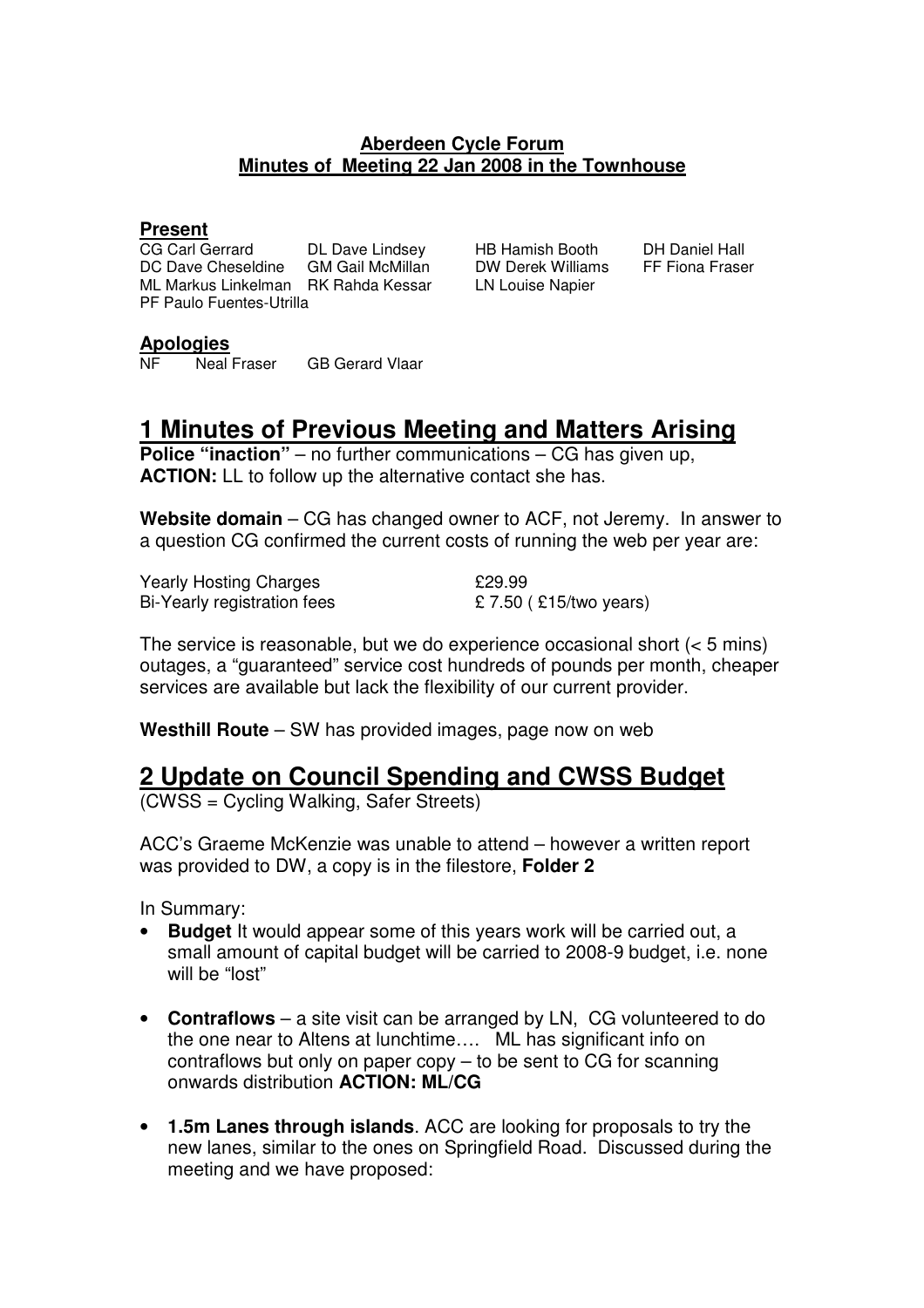#### **Aberdeen Cycle Forum Minutes of Meeting 22 Jan 2008 in the Townhouse**

#### **Present**

CG Carl Gerrard DL Dave Lindsey HB Hamish Booth DH Daniel Hall DC Dave Cheseldine GM Gail McMillan DW Derek Williams FF Fiona Fraser ML Markus Linkelman RK Rahda Kessar LN Louise Napier PF Paulo Fuentes-Utrilla

#### **Apologies**

NF Neal Fraser GB Gerard Vlaar

## **1 Minutes of Previous Meeting and Matters Arising**

**Police "inaction"** – no further communications – CG has given up, **ACTION:** LL to follow up the alternative contact she has.

**Website domain** – CG has changed owner to ACF, not Jeremy. In answer to a question CG confirmed the current costs of running the web per year are:

Yearly Hosting Charges **1988** 229.99 Bi-Yearly registration fees  $\pounds$  7.50 (£15/two years)

The service is reasonable, but we do experience occasional short (< 5 mins) outages, a "guaranteed" service cost hundreds of pounds per month, cheaper services are available but lack the flexibility of our current provider.

**Westhill Route** – SW has provided images, page now on web

### **2 Update on Council Spending and CWSS Budget**

(CWSS = Cycling Walking, Safer Streets)

ACC's Graeme McKenzie was unable to attend – however a written report was provided to DW, a copy is in the filestore, **Folder 2**

In Summary:

- **Budget** It would appear some of this years work will be carried out, a small amount of capital budget will be carried to 2008-9 budget, i.e. none will be "lost"
- **Contraflows** a site visit can be arranged by LN, CG volunteered to do the one near to Altens at lunchtime…. ML has significant info on contraflows but only on paper copy – to be sent to CG for scanning onwards distribution **ACTION: ML/CG**
- **1.5m Lanes through islands**. ACC are looking for proposals to try the new lanes, similar to the ones on Springfield Road. Discussed during the meeting and we have proposed: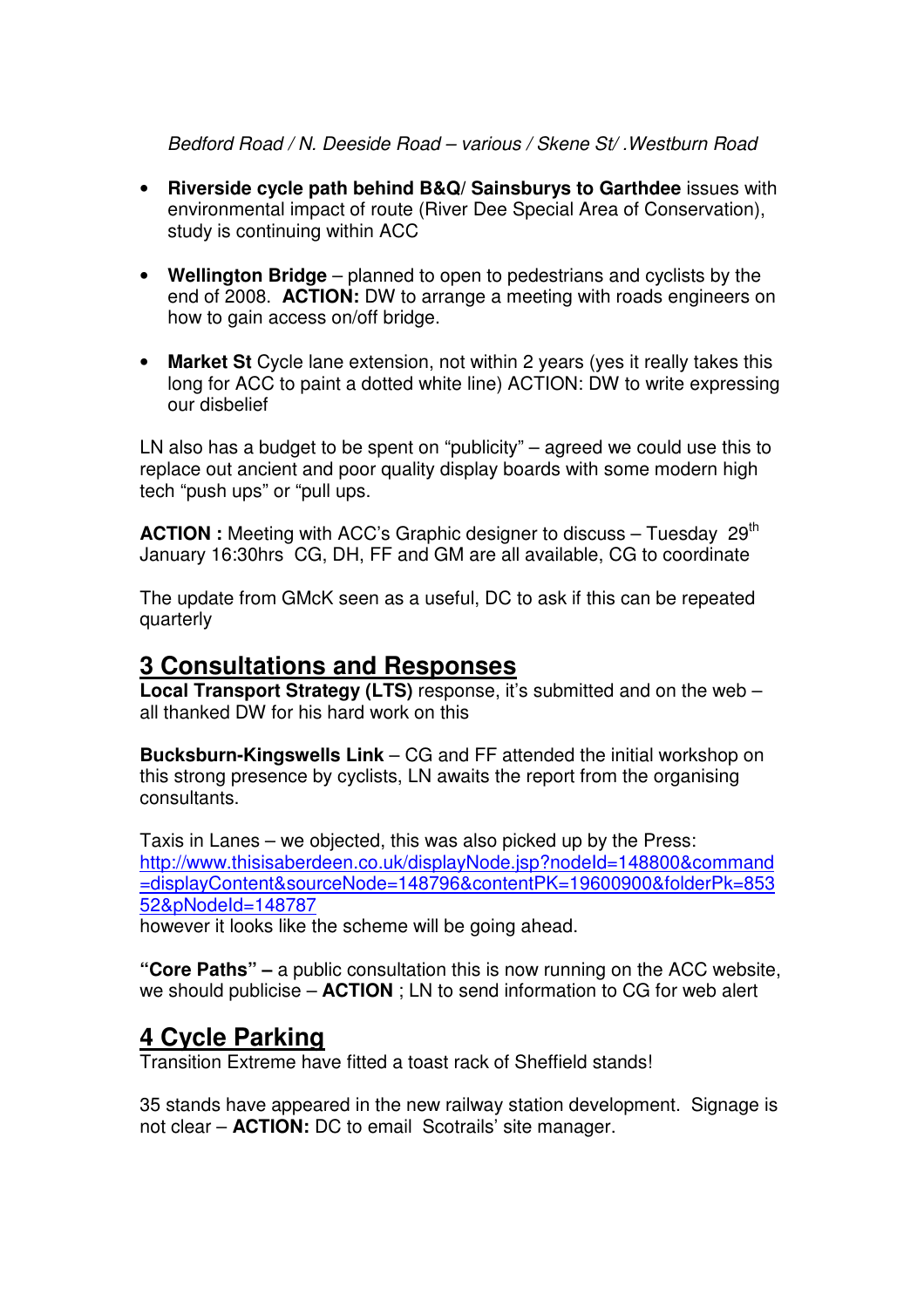Bedford Road / N. Deeside Road – various / Skene St/ .Westburn Road

- **Riverside cycle path behind B&Q/ Sainsburys to Garthdee** issues with environmental impact of route (River Dee Special Area of Conservation), study is continuing within ACC
- **Wellington Bridge** planned to open to pedestrians and cyclists by the end of 2008. **ACTION:** DW to arrange a meeting with roads engineers on how to gain access on/off bridge.
- **Market St** Cycle lane extension, not within 2 years (yes it really takes this long for ACC to paint a dotted white line) ACTION: DW to write expressing our disbelief

LN also has a budget to be spent on "publicity" – agreed we could use this to replace out ancient and poor quality display boards with some modern high tech "push ups" or "pull ups.

**ACTION :** Meeting with ACC's Graphic designer to discuss – Tuesday 29<sup>th</sup> January 16:30hrs CG, DH, FF and GM are all available, CG to coordinate

The update from GMcK seen as a useful, DC to ask if this can be repeated quarterly

### **3 Consultations and Responses**

**Local Transport Strategy (LTS)** response, it's submitted and on the web – all thanked DW for his hard work on this

**Bucksburn-Kingswells Link** – CG and FF attended the initial workshop on this strong presence by cyclists, LN awaits the report from the organising consultants.

Taxis in Lanes – we objected, this was also picked up by the Press: http://www.thisisaberdeen.co.uk/displayNode.jsp?nodeId=148800&command =displayContent&sourceNode=148796&contentPK=19600900&folderPk=853 52&pNodeId=148787

however it looks like the scheme will be going ahead.

**"Core Paths" –** a public consultation this is now running on the ACC website, we should publicise – **ACTION** ; LN to send information to CG for web alert

### **4 Cycle Parking**

Transition Extreme have fitted a toast rack of Sheffield stands!

35 stands have appeared in the new railway station development. Signage is not clear – **ACTION:** DC to email Scotrails' site manager.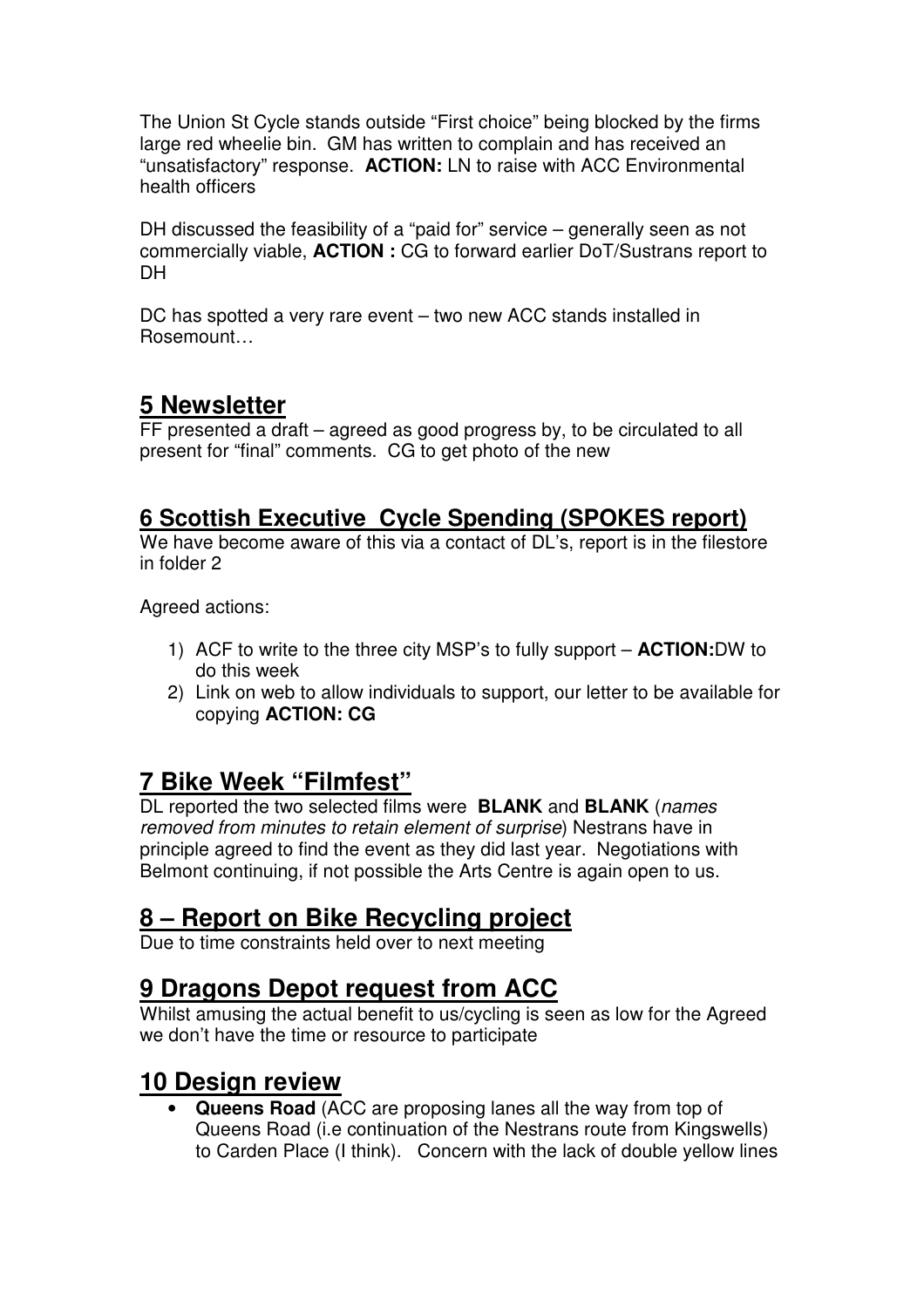The Union St Cycle stands outside "First choice" being blocked by the firms large red wheelie bin. GM has written to complain and has received an "unsatisfactory" response. **ACTION:** LN to raise with ACC Environmental health officers

DH discussed the feasibility of a "paid for" service – generally seen as not commercially viable, **ACTION :** CG to forward earlier DoT/Sustrans report to **DH** 

DC has spotted a very rare event – two new ACC stands installed in Rosemount…

## **5 Newsletter**

FF presented a draft – agreed as good progress by, to be circulated to all present for "final" comments. CG to get photo of the new

### **6 Scottish Executive Cycle Spending (SPOKES report)**

We have become aware of this via a contact of DL's, report is in the filestore in folder 2

Agreed actions:

- 1) ACF to write to the three city MSP's to fully support **ACTION:**DW to do this week
- 2) Link on web to allow individuals to support, our letter to be available for copying **ACTION: CG**

# **7 Bike Week "Filmfest"**

DL reported the two selected films were **BLANK** and **BLANK** (names removed from minutes to retain element of surprise) Nestrans have in principle agreed to find the event as they did last year. Negotiations with Belmont continuing, if not possible the Arts Centre is again open to us.

# **8 – Report on Bike Recycling project**

Due to time constraints held over to next meeting

## **9 Dragons Depot request from ACC**

Whilst amusing the actual benefit to us/cycling is seen as low for the Agreed we don't have the time or resource to participate

## **10 Design review**

• **Queens Road** (ACC are proposing lanes all the way from top of Queens Road (i.e continuation of the Nestrans route from Kingswells) to Carden Place (I think). Concern with the lack of double yellow lines